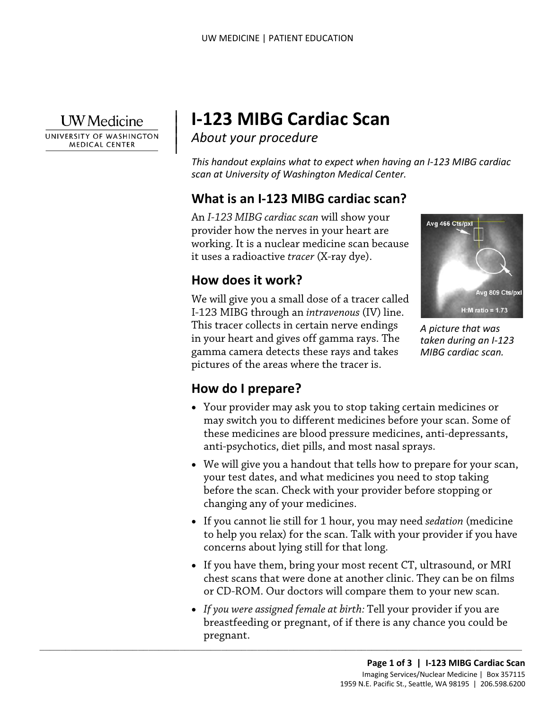

 $\overline{\phantom{a}}$ 

 $\parallel$ 

UNIVERSITY OF WASHINGTON **MEDICAL CENTER** 

# **I-123 MIBG Cardiac Scan**

*About your procedure* 

*This handout explains what to expect when having an I-123 MIBG cardiac scan at University of Washington Medical Center.* 

#### **What is an I-123 MIBG cardiac scan?**

 An *I-123 MIBG cardiac scan* will show your provider how the nerves in your heart are working. It is a nuclear medicine scan because it uses a radioactive *tracer* (X-ray dye).

## **How does it work?**

 We will give you a small dose of a tracer called I-123 MIBG through an *intravenous* (IV) line. in your heart and gives off gamma rays. The This tracer collects in certain nerve endings gamma camera detects these rays and takes pictures of the areas where the tracer is.



*taken during an I-123 MIBG cardiac scan.* 

#### **How do I prepare?**

- Your provider may ask you to stop taking certain medicines or may switch you to different medicines before your scan. Some of these medicines are blood pressure medicines, anti-depressants, anti-psychotics, diet pills, and most nasal sprays. Is tracer collects in certain nerve endings<br>your heart and gives off gamma rays. The<br>mma camera detects these rays and takes *MIBG cardiac scan*,<br>mma camera detects these rays and takes *MIBG cardiac scan*,<br>tures of the ar
- We will give you a handout that tells how to prepare for your scan, your test dates, and what medicines you need to stop taking before the scan. Check with your provider before stopping or changing any of your medicines.
- If you cannot lie still for 1 hour, you may need *sedation* (medicine to help you relax) for the scan. Talk with your provider if you have concerns about lying still for that long.
- If you have them, bring your most recent CT, ultrasound, or MRI chest scans that were done at another clinic. They can be on films or CD-ROM. Our doctors will compare them to your new scan.
- *If you were assigned female at birth:* Tell your provider if you are breastfeeding or pregnant, of if there is any chance you could be

 $\_$  ,  $\_$  ,  $\_$  ,  $\_$  ,  $\_$  ,  $\_$  ,  $\_$  ,  $\_$  ,  $\_$  ,  $\_$  ,  $\_$  ,  $\_$  ,  $\_$  ,  $\_$  ,  $\_$  ,  $\_$  ,  $\_$  ,  $\_$  ,  $\_$  ,  $\_$  ,  $\_$  ,  $\_$  ,  $\_$  ,  $\_$  ,  $\_$  ,  $\_$  ,  $\_$  ,  $\_$  ,  $\_$  ,  $\_$  ,  $\_$  ,  $\_$  ,  $\_$  ,  $\_$  ,  $\_$  ,  $\_$  ,  $\_$  ,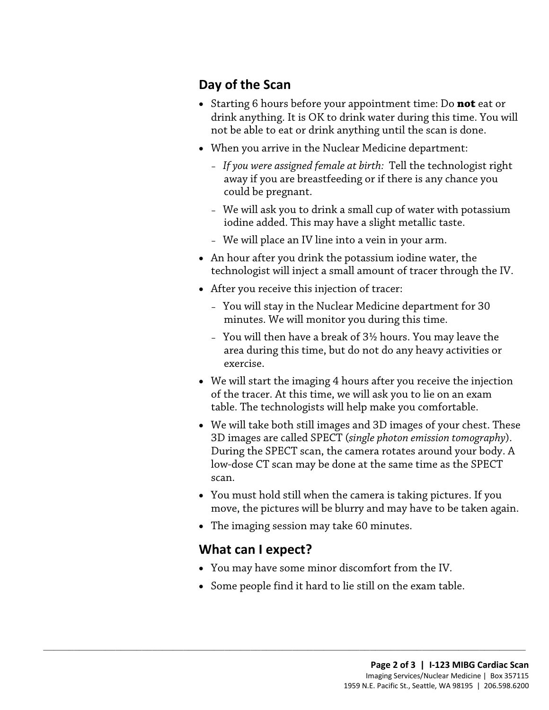#### **Day of the Scan**

- drink anything. It is OK to drink water during this time. You will • Starting 6 hours before your appointment time: Do **not** eat or not be able to eat or drink anything until the scan is done.
- When you arrive in the Nuclear Medicine department:
	- could be pregnant. – *If you were assigned female at birth:* Tell the technologist right away if you are breastfeeding or if there is any chance you
	- We will ask you to drink a small cup of water with potassium iodine added. This may have a slight metallic taste.
	- We will place an IV line into a vein in your arm.
- technologist will inject a small amount of tracer through the IV. • An hour after you drink the potassium iodine water, the
- • After you receive this injection of tracer:
	- You will stay in the Nuclear Medicine department for 30 minutes. We will monitor you during this time.
	- exercise. – You will then have a break of 3½ hours. You may leave the area during this time, but do not do any heavy activities or
- of the tracer. At this time, we will ask you to lie on an exam • We will start the imaging 4 hours after you receive the injection table. The technologists will help make you comfortable.
- We will take both still images and 3D images of your chest. These 3D images are called SPECT (*single photon emission tomography*). During the SPECT scan, the camera rotates around your body. A low-dose CT scan may be done at the same time as the SPECT scan.
- You must hold still when the camera is taking pictures. If you move, the pictures will be blurry and may have to be taken again.
- The imaging session may take 60 minutes.

 $\_$  ,  $\_$  ,  $\_$  ,  $\_$  ,  $\_$  ,  $\_$  ,  $\_$  ,  $\_$  ,  $\_$  ,  $\_$  ,  $\_$  ,  $\_$  ,  $\_$  ,  $\_$  ,  $\_$  ,  $\_$  ,  $\_$  ,  $\_$  ,  $\_$  ,  $\_$  ,  $\_$  ,  $\_$  ,  $\_$  ,  $\_$  ,  $\_$  ,  $\_$  ,  $\_$  ,  $\_$  ,  $\_$  ,  $\_$  ,  $\_$  ,  $\_$  ,  $\_$  ,  $\_$  ,  $\_$  ,  $\_$  ,  $\_$  ,

#### **What can I expect?**

- You may have some minor discomfort from the IV.
- Some people find it hard to lie still on the exam table.